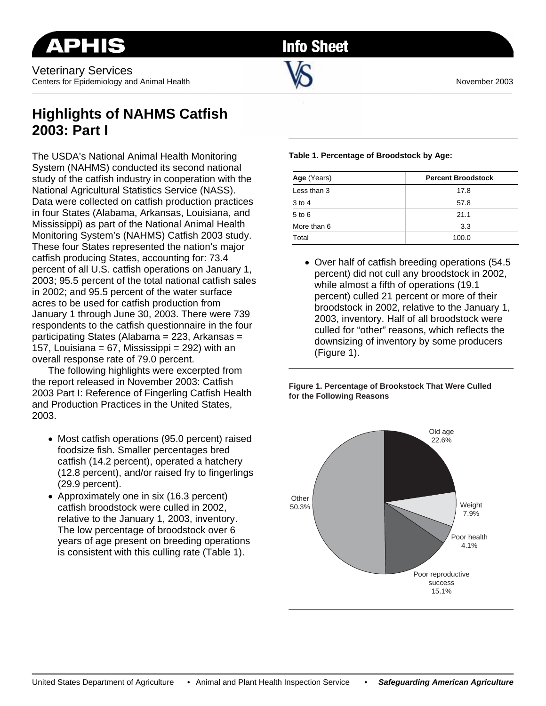Veterinary Services Centers for Epidemiology and Animal Health November 2003

**Info Sheet** 

 $\sim$  . The contribution of the contribution of the contribution of the contribution of the contribution of the contribution of the contribution of the contribution of the contribution of the contribution of the contributi

## **Highlights of NAHMS Catfish 2003: Part I**

The USDA's National Animal Health Monitoring System (NAHMS) conducted its second national study of the catfish industry in cooperation with the National Agricultural Statistics Service (NASS). Data were collected on catfish production practices in four States (Alabama, Arkansas, Louisiana, and Mississippi) as part of the National Animal Health Monitoring System's (NAHMS) Catfish 2003 study. These four States represented the nation's major catfish producing States, accounting for: 73.4 percent of all U.S. catfish operations on January 1, 2003; 95.5 percent of the total national catfish sales in 2002; and 95.5 percent of the water surface acres to be used for catfish production from January 1 through June 30, 2003. There were 739 respondents to the catfish questionnaire in the four participating States (Alabama = 223, Arkansas = 157, Louisiana =  $67$ , Mississippi =  $292$ ) with an overall response rate of 79.0 percent.

 The following highlights were excerpted from the report released in November 2003: Catfish 2003 Part I: Reference of Fingerling Catfish Health and Production Practices in the United States, 2003.

- Most catfish operations (95.0 percent) raised foodsize fish. Smaller percentages bred catfish (14.2 percent), operated a hatchery (12.8 percent), and/or raised fry to fingerlings (29.9 percent).
- Approximately one in six (16.3 percent) catfish broodstock were culled in 2002, relative to the January 1, 2003, inventory. The low percentage of broodstock over 6 years of age present on breeding operations is consistent with this culling rate (Table 1).

## **Table 1. Percentage of Broodstock by Age:**

| Age (Years) | <b>Percent Broodstock</b> |
|-------------|---------------------------|
| Less than 3 | 17.8                      |
| $3$ to 4    | 57.8                      |
| $5$ to $6$  | 21.1                      |
| More than 6 | 3.3                       |
| Total       | 100.0                     |

• Over half of catfish breeding operations (54.5 percent) did not cull any broodstock in 2002, while almost a fifth of operations (19.1 percent) culled 21 percent or more of their broodstock in 2002, relative to the January 1, 2003, inventory. Half of all broodstock were culled for "other" reasons, which reflects the downsizing of inventory by some producers (Figure 1).

**Figure 1. Percentage of Brookstock That Were Culled for the Following Reasons**